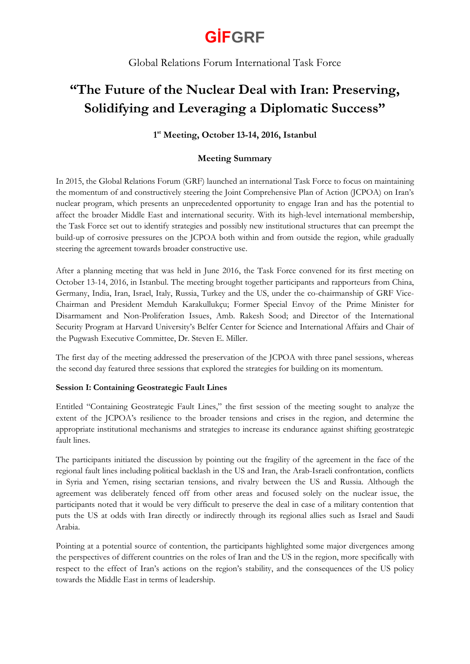Global Relations Forum International Task Force

### **"The Future of the Nuclear Deal with Iran: Preserving, Solidifying and Leveraging a Diplomatic Success"**

### **1 st Meeting, October 13-14, 2016, Istanbul**

### **Meeting Summary**

In 2015, the Global Relations Forum (GRF) launched an international Task Force to focus on maintaining the momentum of and constructively steering the Joint Comprehensive Plan of Action (JCPOA) on Iran's nuclear program, which presents an unprecedented opportunity to engage Iran and has the potential to affect the broader Middle East and international security. With its high-level international membership, the Task Force set out to identify strategies and possibly new institutional structures that can preempt the build-up of corrosive pressures on the JCPOA both within and from outside the region, while gradually steering the agreement towards broader constructive use.

After a planning meeting that was held in June 2016, the Task Force convened for its first meeting on October 13-14, 2016, in Istanbul. The meeting brought together participants and rapporteurs from China, Germany, India, Iran, Israel, Italy, Russia, Turkey and the US, under the co-chairmanship of GRF Vice-Chairman and President Memduh Karakullukçu; Former Special Envoy of the Prime Minister for Disarmament and Non-Proliferation Issues, Amb. Rakesh Sood; and Director of the International Security Program at Harvard University's Belfer Center for Science and International Affairs and Chair of the Pugwash Executive Committee, Dr. Steven E. Miller.

The first day of the meeting addressed the preservation of the JCPOA with three panel sessions, whereas the second day featured three sessions that explored the strategies for building on its momentum.

#### **Session I: Containing Geostrategic Fault Lines**

Entitled "Containing Geostrategic Fault Lines," the first session of the meeting sought to analyze the extent of the JCPOA's resilience to the broader tensions and crises in the region, and determine the appropriate institutional mechanisms and strategies to increase its endurance against shifting geostrategic fault lines.

The participants initiated the discussion by pointing out the fragility of the agreement in the face of the regional fault lines including political backlash in the US and Iran, the Arab-Israeli confrontation, conflicts in Syria and Yemen, rising sectarian tensions, and rivalry between the US and Russia. Although the agreement was deliberately fenced off from other areas and focused solely on the nuclear issue, the participants noted that it would be very difficult to preserve the deal in case of a military contention that puts the US at odds with Iran directly or indirectly through its regional allies such as Israel and Saudi Arabia.

Pointing at a potential source of contention, the participants highlighted some major divergences among the perspectives of different countries on the roles of Iran and the US in the region, more specifically with respect to the effect of Iran's actions on the region's stability, and the consequences of the US policy towards the Middle East in terms of leadership.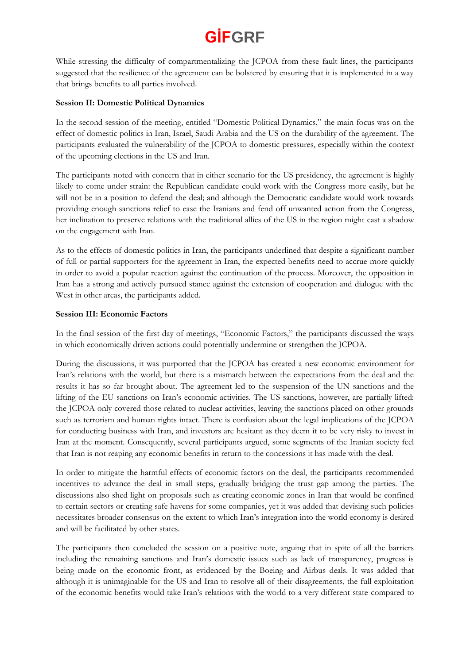While stressing the difficulty of compartmentalizing the JCPOA from these fault lines, the participants suggested that the resilience of the agreement can be bolstered by ensuring that it is implemented in a way that brings benefits to all parties involved.

#### **Session II: Domestic Political Dynamics**

In the second session of the meeting, entitled "Domestic Political Dynamics," the main focus was on the effect of domestic politics in Iran, Israel, Saudi Arabia and the US on the durability of the agreement. The participants evaluated the vulnerability of the JCPOA to domestic pressures, especially within the context of the upcoming elections in the US and Iran.

The participants noted with concern that in either scenario for the US presidency, the agreement is highly likely to come under strain: the Republican candidate could work with the Congress more easily, but he will not be in a position to defend the deal; and although the Democratic candidate would work towards providing enough sanctions relief to ease the Iranians and fend off unwanted action from the Congress, her inclination to preserve relations with the traditional allies of the US in the region might cast a shadow on the engagement with Iran.

As to the effects of domestic politics in Iran, the participants underlined that despite a significant number of full or partial supporters for the agreement in Iran, the expected benefits need to accrue more quickly in order to avoid a popular reaction against the continuation of the process. Moreover, the opposition in Iran has a strong and actively pursued stance against the extension of cooperation and dialogue with the West in other areas, the participants added.

#### **Session III: Economic Factors**

In the final session of the first day of meetings, "Economic Factors," the participants discussed the ways in which economically driven actions could potentially undermine or strengthen the JCPOA.

During the discussions, it was purported that the JCPOA has created a new economic environment for Iran's relations with the world, but there is a mismatch between the expectations from the deal and the results it has so far brought about. The agreement led to the suspension of the UN sanctions and the lifting of the EU sanctions on Iran's economic activities. The US sanctions, however, are partially lifted: the JCPOA only covered those related to nuclear activities, leaving the sanctions placed on other grounds such as terrorism and human rights intact. There is confusion about the legal implications of the JCPOA for conducting business with Iran, and investors are hesitant as they deem it to be very risky to invest in Iran at the moment. Consequently, several participants argued, some segments of the Iranian society feel that Iran is not reaping any economic benefits in return to the concessions it has made with the deal.

In order to mitigate the harmful effects of economic factors on the deal, the participants recommended incentives to advance the deal in small steps, gradually bridging the trust gap among the parties. The discussions also shed light on proposals such as creating economic zones in Iran that would be confined to certain sectors or creating safe havens for some companies, yet it was added that devising such policies necessitates broader consensus on the extent to which Iran's integration into the world economy is desired and will be facilitated by other states.

The participants then concluded the session on a positive note, arguing that in spite of all the barriers including the remaining sanctions and Iran's domestic issues such as lack of transparency, progress is being made on the economic front, as evidenced by the Boeing and Airbus deals. It was added that although it is unimaginable for the US and Iran to resolve all of their disagreements, the full exploitation of the economic benefits would take Iran's relations with the world to a very different state compared to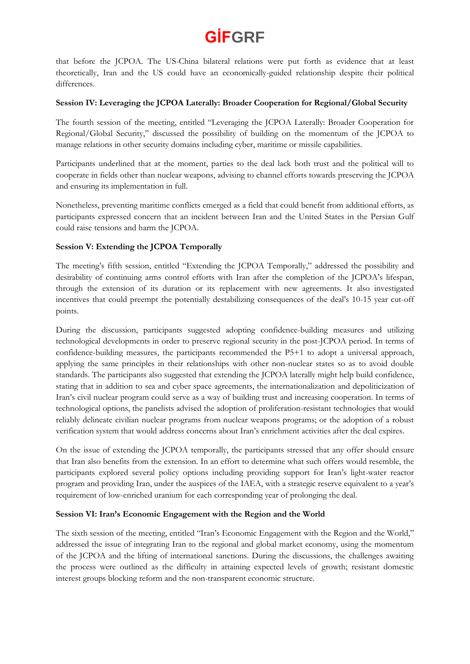that before the JCPOA. The US-China bilateral relations were put forth as evidence that at least theoretically, Iran and the US could have an economically-guided relationship despite their political differences.

#### **Session IV: Leveraging the JCPOA Laterally: Broader Cooperation for Regional/Global Security**

The fourth session of the meeting, entitled "Leveraging the JCPOA Laterally: Broader Cooperation for Regional/Global Security," discussed the possibility of building on the momentum of the JCPOA to manage relations in other security domains including cyber, maritime or missile capabilities.

Participants underlined that at the moment, parties to the deal lack both trust and the political will to cooperate in fields other than nuclear weapons, advising to channel efforts towards preserving the JCPOA and ensuring its implementation in full.

Nonetheless, preventing maritime conflicts emerged as a field that could benefit from additional efforts, as participants expressed concern that an incident between Iran and the United States in the Persian Gulf could raise tensions and harm the JCPOA.

#### **Session V: Extending the JCPOA Temporally**

The meeting's fifth session, entitled "Extending the JCPOA Temporally," addressed the possibility and desirability of continuing arms control efforts with Iran after the completion of the JCPOA's lifespan, through the extension of its duration or its replacement with new agreements. It also investigated incentives that could preempt the potentially destabilizing consequences of the deal's 10-15 year cut-off points.

During the discussion, participants suggested adopting confidence-building measures and utilizing technological developments in order to preserve regional security in the post-JCPOA period. In terms of confidence-building measures, the participants recommended the P5+1 to adopt a universal approach, applying the same principles in their relationships with other non-nuclear states so as to avoid double standards. The participants also suggested that extending the JCPOA laterally might help build confidence, stating that in addition to sea and cyber space agreements, the internationalization and depoliticization of Iran's civil nuclear program could serve as a way of building trust and increasing cooperation. In terms of technological options, the panelists advised the adoption of proliferation-resistant technologies that would reliably delineate civilian nuclear programs from nuclear weapons programs; or the adoption of a robust verification system that would address concerns about Iran's enrichment activities after the deal expires.

On the issue of extending the JCPOA temporally, the participants stressed that any offer should ensure that Iran also benefits from the extension. In an effort to determine what such offers would resemble, the participants explored several policy options including providing support for Iran's light-water reactor program and providing Iran, under the auspices of the IAEA, with a strategic reserve equivalent to a year's requirement of low-enriched uranium for each corresponding year of prolonging the deal.

#### **Session VI: Iran's Economic Engagement with the Region and the World**

The sixth session of the meeting, entitled "Iran's Economic Engagement with the Region and the World," addressed the issue of integrating Iran to the regional and global market economy, using the momentum of the JCPOA and the lifting of international sanctions. During the discussions, the challenges awaiting the process were outlined as the difficulty in attaining expected levels of growth; resistant domestic interest groups blocking reform and the non-transparent economic structure.